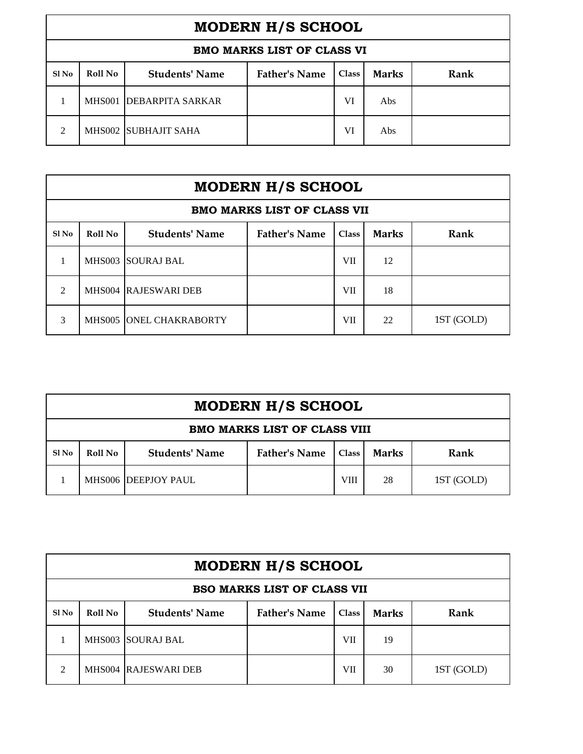| <b>MODERN H/S SCHOOL</b>          |         |                          |                      |              |              |      |  |  |
|-----------------------------------|---------|--------------------------|----------------------|--------------|--------------|------|--|--|
| <b>BMO MARKS LIST OF CLASS VI</b> |         |                          |                      |              |              |      |  |  |
| Sl No                             | Roll No | <b>Students' Name</b>    | <b>Father's Name</b> | <b>Class</b> | <b>Marks</b> | Rank |  |  |
|                                   | MHS001  | <b>IDEBARPITA SARKAR</b> |                      | VI           | Abs          |      |  |  |
| ∍                                 |         | MHS002 SUBHAJIT SAHA     |                      | VI           | Abs          |      |  |  |

| <b>MODERN H/S SCHOOL</b>           |                |                           |                      |       |              |            |  |
|------------------------------------|----------------|---------------------------|----------------------|-------|--------------|------------|--|
| <b>BMO MARKS LIST OF CLASS VII</b> |                |                           |                      |       |              |            |  |
| Sl No                              | <b>Roll No</b> | <b>Students' Name</b>     | <b>Father's Name</b> | Class | <b>Marks</b> | Rank       |  |
|                                    |                | <b>MHS003 ISOURAJ BAL</b> |                      | VII   | 12           |            |  |
| $\mathcal{L}$                      |                | MHS004 RAJESWARI DEB      |                      | VII   | 18           |            |  |
| 3                                  |                | MHS005 ONEL CHAKRABORTY   |                      | VII   | 22           | 1ST (GOLD) |  |

| <b>MODERN H/S SCHOOL</b>            |         |                       |                      |              |              |            |  |  |
|-------------------------------------|---------|-----------------------|----------------------|--------------|--------------|------------|--|--|
| <b>BMO MARKS LIST OF CLASS VIII</b> |         |                       |                      |              |              |            |  |  |
| Sl <sub>No</sub>                    | Roll No | <b>Students' Name</b> | <b>Father's Name</b> | <b>Class</b> | <b>Marks</b> | Rank       |  |  |
|                                     |         | MHS006 DEEPJOY PAUL   |                      | <b>VIII</b>  | 28           | 1ST (GOLD) |  |  |

| <b>MODERN H/S SCHOOL</b>           |         |                           |                      |       |              |            |  |  |
|------------------------------------|---------|---------------------------|----------------------|-------|--------------|------------|--|--|
| <b>BSO MARKS LIST OF CLASS VII</b> |         |                           |                      |       |              |            |  |  |
| Sl No                              | Roll No | <b>Students' Name</b>     | <b>Father's Name</b> | Class | <b>Marks</b> | Rank       |  |  |
|                                    |         | <b>MHS003 ISOURAJ BAL</b> |                      | VII   | 19           |            |  |  |
| 2                                  |         | MHS004 RAJESWARI DEB      |                      | VII   | 30           | 1ST (GOLD) |  |  |